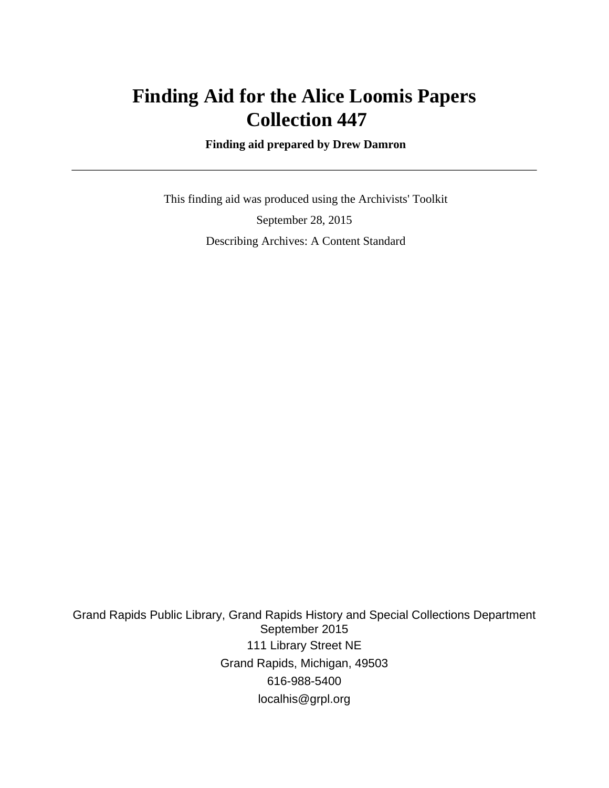# **Finding Aid for the Alice Loomis Papers Collection 447**

 **Finding aid prepared by Drew Damron**

 This finding aid was produced using the Archivists' Toolkit September 28, 2015 Describing Archives: A Content Standard

Grand Rapids Public Library, Grand Rapids History and Special Collections Department September 2015 111 Library Street NE Grand Rapids, Michigan, 49503 616-988-5400 localhis@grpl.org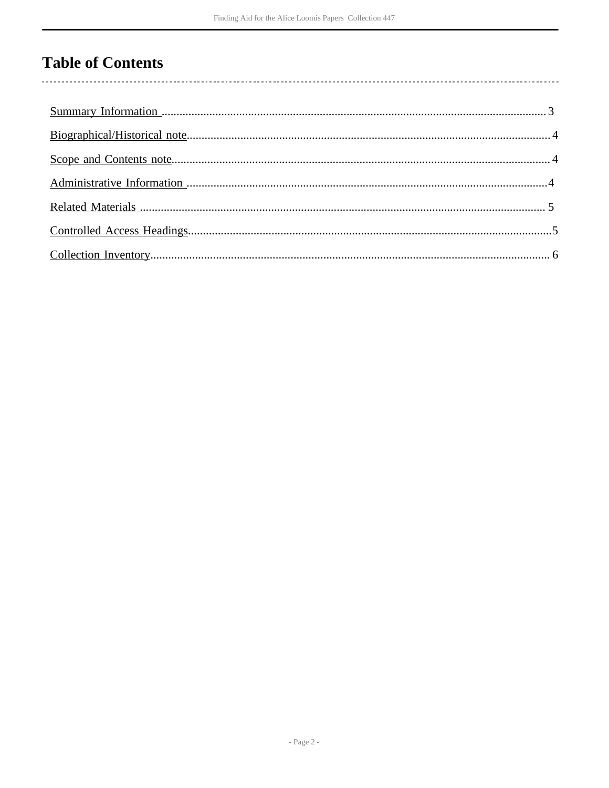# **Table of Contents**

 $\overline{\phantom{a}}$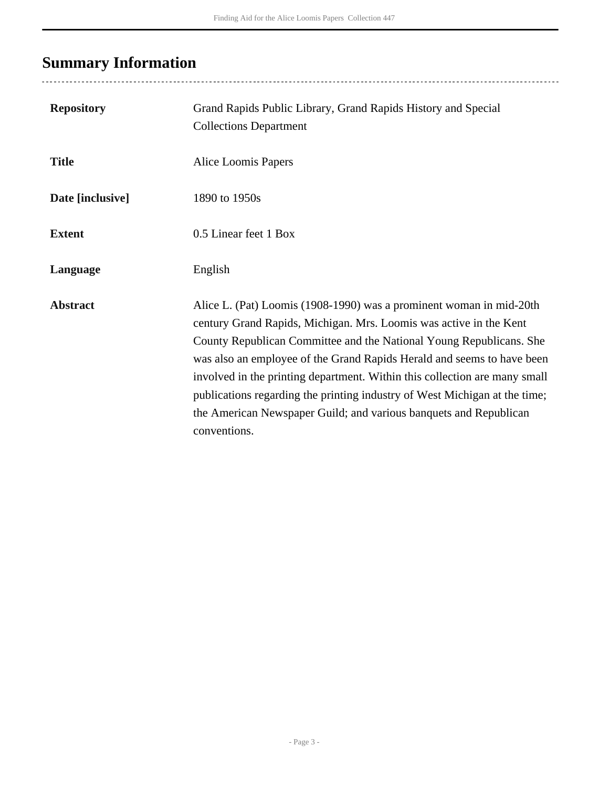# <span id="page-2-0"></span>**Summary Information**

| <b>Repository</b> | Grand Rapids Public Library, Grand Rapids History and Special<br><b>Collections Department</b>                                                                                                                                                                                                                                                                                                                                                                                                                                              |
|-------------------|---------------------------------------------------------------------------------------------------------------------------------------------------------------------------------------------------------------------------------------------------------------------------------------------------------------------------------------------------------------------------------------------------------------------------------------------------------------------------------------------------------------------------------------------|
| <b>Title</b>      | Alice Loomis Papers                                                                                                                                                                                                                                                                                                                                                                                                                                                                                                                         |
| Date [inclusive]  | 1890 to 1950s                                                                                                                                                                                                                                                                                                                                                                                                                                                                                                                               |
| <b>Extent</b>     | 0.5 Linear feet 1 Box                                                                                                                                                                                                                                                                                                                                                                                                                                                                                                                       |
| Language          | English                                                                                                                                                                                                                                                                                                                                                                                                                                                                                                                                     |
| <b>Abstract</b>   | Alice L. (Pat) Loomis (1908-1990) was a prominent woman in mid-20th<br>century Grand Rapids, Michigan. Mrs. Loomis was active in the Kent<br>County Republican Committee and the National Young Republicans. She<br>was also an employee of the Grand Rapids Herald and seems to have been<br>involved in the printing department. Within this collection are many small<br>publications regarding the printing industry of West Michigan at the time;<br>the American Newspaper Guild; and various banquets and Republican<br>conventions. |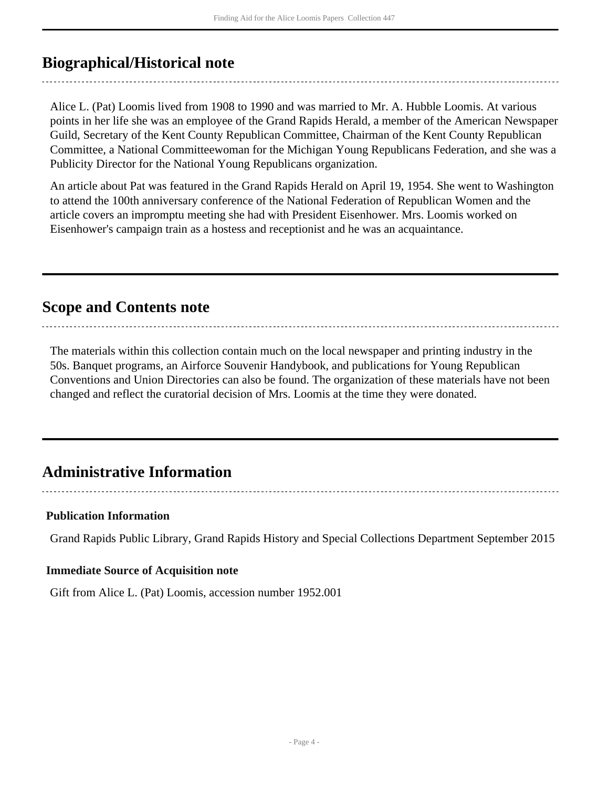### <span id="page-3-0"></span>**Biographical/Historical note**

Alice L. (Pat) Loomis lived from 1908 to 1990 and was married to Mr. A. Hubble Loomis. At various points in her life she was an employee of the Grand Rapids Herald, a member of the American Newspaper Guild, Secretary of the Kent County Republican Committee, Chairman of the Kent County Republican Committee, a National Committeewoman for the Michigan Young Republicans Federation, and she was a Publicity Director for the National Young Republicans organization.

An article about Pat was featured in the Grand Rapids Herald on April 19, 1954. She went to Washington to attend the 100th anniversary conference of the National Federation of Republican Women and the article covers an impromptu meeting she had with President Eisenhower. Mrs. Loomis worked on Eisenhower's campaign train as a hostess and receptionist and he was an acquaintance.

### <span id="page-3-1"></span>**Scope and Contents note**

The materials within this collection contain much on the local newspaper and printing industry in the 50s. Banquet programs, an Airforce Souvenir Handybook, and publications for Young Republican Conventions and Union Directories can also be found. The organization of these materials have not been changed and reflect the curatorial decision of Mrs. Loomis at the time they were donated.

### <span id="page-3-2"></span>**Administrative Information**

#### **Publication Information**

Grand Rapids Public Library, Grand Rapids History and Special Collections Department September 2015

#### **Immediate Source of Acquisition note**

Gift from Alice L. (Pat) Loomis, accession number 1952.001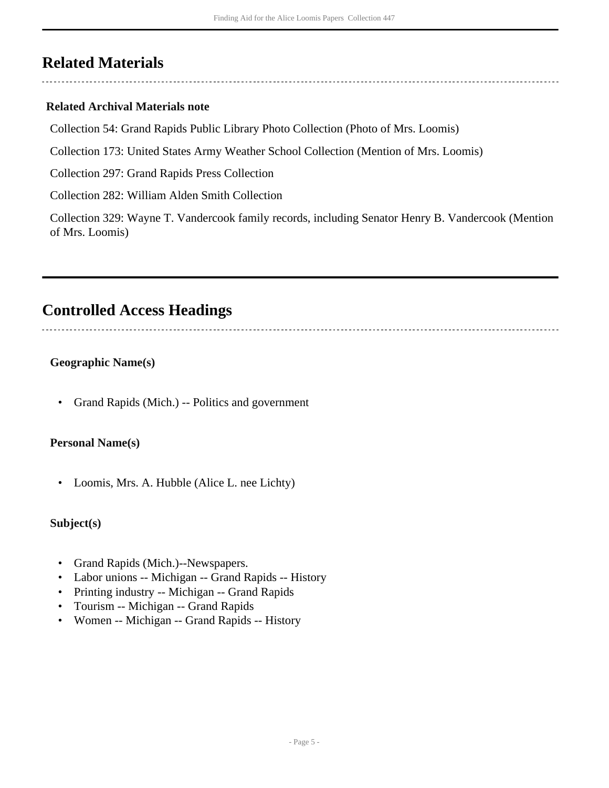### <span id="page-4-0"></span>**Related Materials**

#### **Related Archival Materials note**

Collection 54: Grand Rapids Public Library Photo Collection (Photo of Mrs. Loomis)

Collection 173: United States Army Weather School Collection (Mention of Mrs. Loomis)

Collection 297: Grand Rapids Press Collection

Collection 282: William Alden Smith Collection

Collection 329: Wayne T. Vandercook family records, including Senator Henry B. Vandercook (Mention of Mrs. Loomis)

### <span id="page-4-1"></span>**Controlled Access Headings**

### **Geographic Name(s)**

• Grand Rapids (Mich.) -- Politics and government

#### **Personal Name(s)**

• Loomis, Mrs. A. Hubble (Alice L. nee Lichty)

#### **Subject(s)**

- Grand Rapids (Mich.)--Newspapers.
- Labor unions -- Michigan -- Grand Rapids -- History
- Printing industry -- Michigan -- Grand Rapids
- Tourism -- Michigan -- Grand Rapids
- Women -- Michigan -- Grand Rapids -- History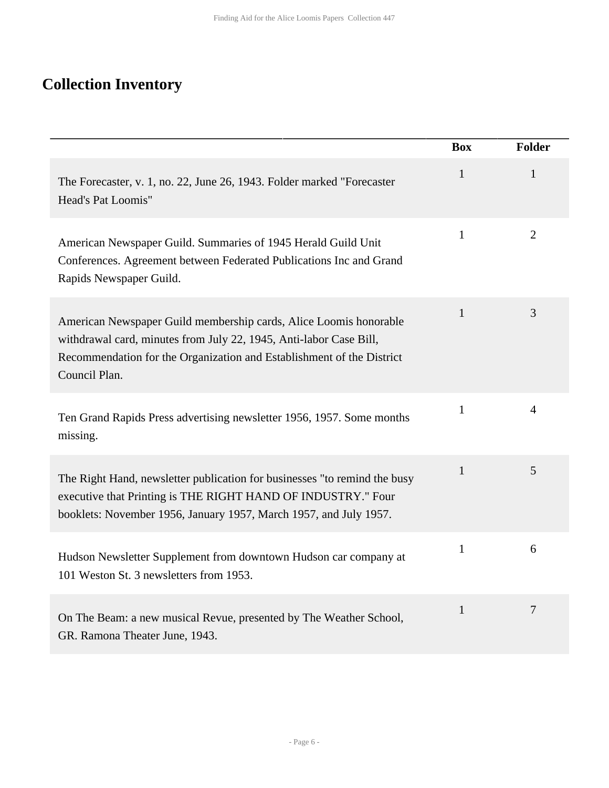# <span id="page-5-0"></span>**Collection Inventory**

|                                                                                                                                                                                                                                   | <b>Box</b>   | <b>Folder</b>  |
|-----------------------------------------------------------------------------------------------------------------------------------------------------------------------------------------------------------------------------------|--------------|----------------|
| The Forecaster, v. 1, no. 22, June 26, 1943. Folder marked "Forecaster<br>Head's Pat Loomis"                                                                                                                                      | $\mathbf{1}$ | 1              |
| American Newspaper Guild. Summaries of 1945 Herald Guild Unit<br>Conferences. Agreement between Federated Publications Inc and Grand<br>Rapids Newspaper Guild.                                                                   | $\mathbf{1}$ | $\overline{2}$ |
| American Newspaper Guild membership cards, Alice Loomis honorable<br>withdrawal card, minutes from July 22, 1945, Anti-labor Case Bill,<br>Recommendation for the Organization and Establishment of the District<br>Council Plan. | $\mathbf{1}$ | 3              |
| Ten Grand Rapids Press advertising newsletter 1956, 1957. Some months<br>missing.                                                                                                                                                 | $\mathbf{1}$ | $\overline{4}$ |
| The Right Hand, newsletter publication for businesses "to remind the busy<br>executive that Printing is THE RIGHT HAND OF INDUSTRY." Four<br>booklets: November 1956, January 1957, March 1957, and July 1957.                    | $\mathbf{1}$ | 5              |
| Hudson Newsletter Supplement from downtown Hudson car company at<br>101 Weston St. 3 newsletters from 1953.                                                                                                                       | $\mathbf{1}$ | 6              |
| On The Beam: a new musical Revue, presented by The Weather School,<br>GR. Ramona Theater June, 1943.                                                                                                                              | $\mathbf{1}$ | $\overline{7}$ |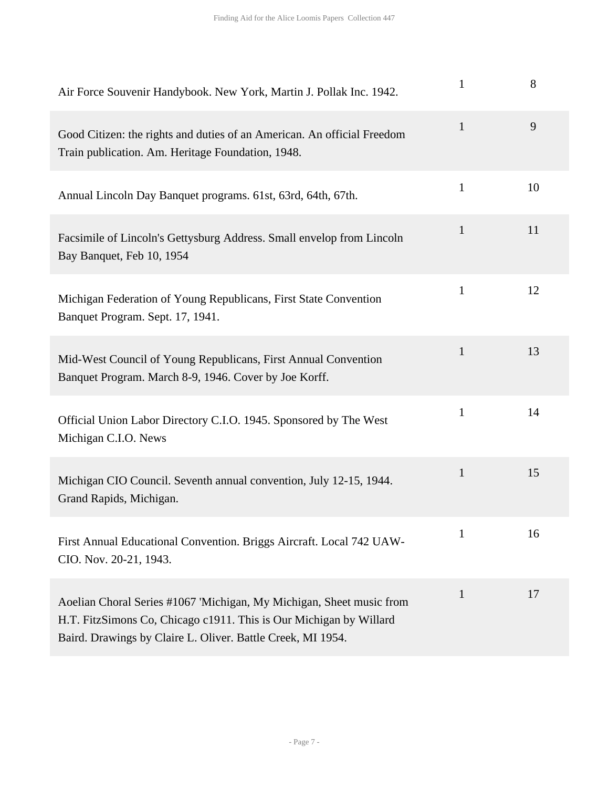| Air Force Souvenir Handybook. New York, Martin J. Pollak Inc. 1942.                                                                                                                                       | $\mathbf{1}$ | 8  |
|-----------------------------------------------------------------------------------------------------------------------------------------------------------------------------------------------------------|--------------|----|
| Good Citizen: the rights and duties of an American. An official Freedom<br>Train publication. Am. Heritage Foundation, 1948.                                                                              | $\mathbf{1}$ | 9  |
| Annual Lincoln Day Banquet programs. 61st, 63rd, 64th, 67th.                                                                                                                                              | $\mathbf{1}$ | 10 |
| Facsimile of Lincoln's Gettysburg Address. Small envelop from Lincoln<br>Bay Banquet, Feb 10, 1954                                                                                                        | $\mathbf{1}$ | 11 |
| Michigan Federation of Young Republicans, First State Convention<br>Banquet Program. Sept. 17, 1941.                                                                                                      | $\mathbf{1}$ | 12 |
| Mid-West Council of Young Republicans, First Annual Convention<br>Banquet Program. March 8-9, 1946. Cover by Joe Korff.                                                                                   | $\mathbf{1}$ | 13 |
| Official Union Labor Directory C.I.O. 1945. Sponsored by The West<br>Michigan C.I.O. News                                                                                                                 | $\mathbf{1}$ | 14 |
| Michigan CIO Council. Seventh annual convention, July 12-15, 1944.<br>Grand Rapids, Michigan.                                                                                                             | $\mathbf{1}$ | 15 |
| First Annual Educational Convention. Briggs Aircraft. Local 742 UAW-<br>CIO. Nov. 20-21, 1943.                                                                                                            | 1            | 16 |
| Aoelian Choral Series #1067 'Michigan, My Michigan, Sheet music from<br>H.T. FitzSimons Co, Chicago c1911. This is Our Michigan by Willard<br>Baird. Drawings by Claire L. Oliver. Battle Creek, MI 1954. | 1            | 17 |